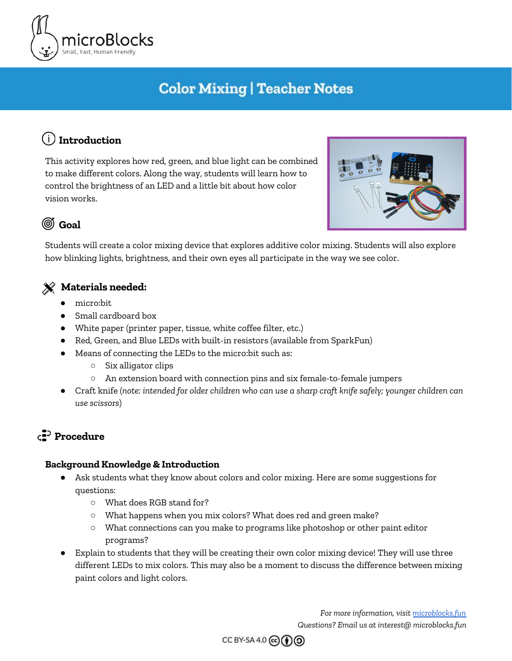

# **Color Mixing | Teacher Notes**

# **Introduction**

This activity explores how red, green, and blue light can be combined to make different colors. Along the way, students will learn how to control the brightness of an LED and a little bit about how color vision works.



### **Goal**

Students will create a color mixing device that explores additive color mixing. Students will also explore how blinking lights, brightness, and their own eyes all participate in the way we see color.

### **Materials needed:**

- micro:bit
- Small cardboard box
- White paper (printer paper, tissue, white coffee filter, etc.)
- Red, Green, and Blue LEDs with built-in resistors (available from SparkFun)
- Means of connecting the LEDs to the micro:bit such as:
	- Six alligator clips
	- An extension board with connection pins and six female-to-female jumpers
- Craft knife (*note: intended for older children who can use a sharp craft knife safely; younger children can use scissors*)

# **Procedure**

#### **Background Knowledge & Introduction**

- Ask students what they know about colors and color mixing. Here are some suggestions for questions:
	- What does RGB stand for?
	- What happens when you mix colors? What does red and green make?
	- What connections can you make to programs like photoshop or other paint editor programs?
- Explain to students that they will be creating their own color mixing device! They will use three different LEDs to mix colors. This may also be a moment to discuss the difference between mixing paint colors and light colors.

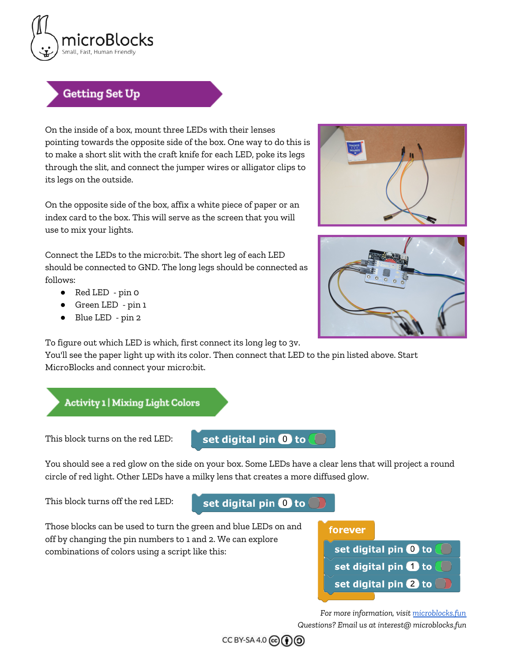

### **Getting Set Up**

On the inside of a box, mount three LEDs with their lenses pointing towards the opposite side of the box. One way to do this is to make a short slit with the craft knife for each LED, poke its legs through the slit, and connect the jumper wires or alligator clips to its legs on the outside.

On the opposite side of the box, affix a white piece of paper or an index card to the box. This will serve as the screen that you will use to mix your lights.

Connect the LEDs to the micro:bit. The short leg of each LED should be connected to GND. The long legs should be connected as follows:

- Red LED pin 0
- Green LED pin 1
- Blue LED pin 2

To figure out which LED is which, first connect its long leg to 3v.

You'll see the paper light up with its color. Then connect that LED to the pin listed above. Start MicroBlocks and connect your micro:bit.



This block turns on the red LED:

set digital pin @ to

You should see a red glow on the side on your box. Some LEDs have a clear lens that will project a round circle of red light. Other LEDs have a milky lens that creates a more diffused glow.

This block turns off the red LED:

#### set digital pin 0 to

Those blocks can be used to turn the green and blue LEDs on and off by changing the pin numbers to 1 and 2. We can explore combinations of colors using a script like this:

forever







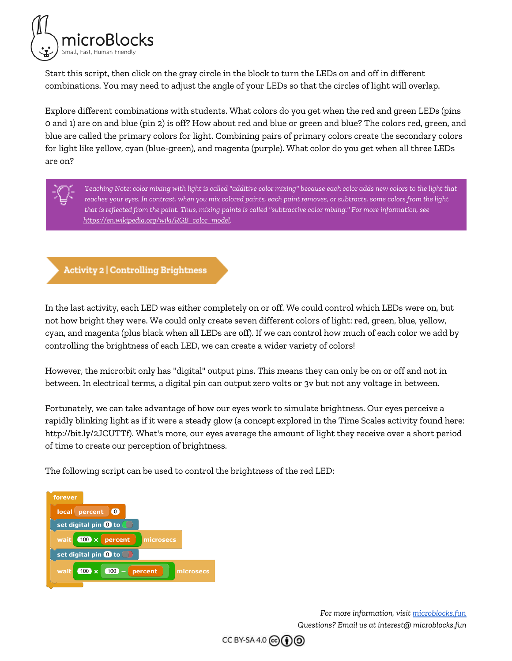

Start this script, then click on the gray circle in the block to turn the LEDs on and off in different combinations. You may need to adjust the angle of your LEDs so that the circles of light will overlap.

Explore different combinations with students. What colors do you get when the red and green LEDs (pins 0 and 1) are on and blue (pin 2) is off? How about red and blue or green and blue? The colors red, green, and blue are called the primary colors for light. Combining pairs of primary colors create the secondary colors for light like yellow, cyan (blue-green), and magenta (purple). What color do you get when all three LEDs are on?



Teaching Note: color mixing with light is called "additive color mixing" because each color adds new colors to the light that reaches your eyes. In contrast, when you mix colored paints, each paint removes, or subtracts, some colors from the light that is reflected from the paint. Thus, mixing paints is called "subtractive color mixing." For more information, see *[https://en.wikipedia.org/wiki/RGB\\_color\\_model](https://en.wikipedia.org/wiki/RGB_color_model).*

#### **Activity 2 | Controlling Brightness**

In the last activity, each LED was either completely on or off. We could control which LEDs were on, but not how bright they were. We could only create seven different colors of light: red, green, blue, yellow, cyan, and magenta (plus black when all LEDs are off). If we can control how much of each color we add by controlling the brightness of each LED, we can create a wider variety of colors!

However, the micro:bit only has "digital" output pins. This means they can only be on or off and not in between. In electrical terms, a digital pin can output zero volts or 3v but not any voltage in between.

Fortunately, we can take advantage of how our eyes work to simulate brightness. Our eyes perceive a rapidly blinking light as if it were a steady glow (a concept explored in the Time Scales activity found here: http://bit.ly/2JCUTTf). What's more, our eyes average the amount of light they receive over a short period of time to create our perception of brightness.

The following script can be used to control the brightness of the red LED:



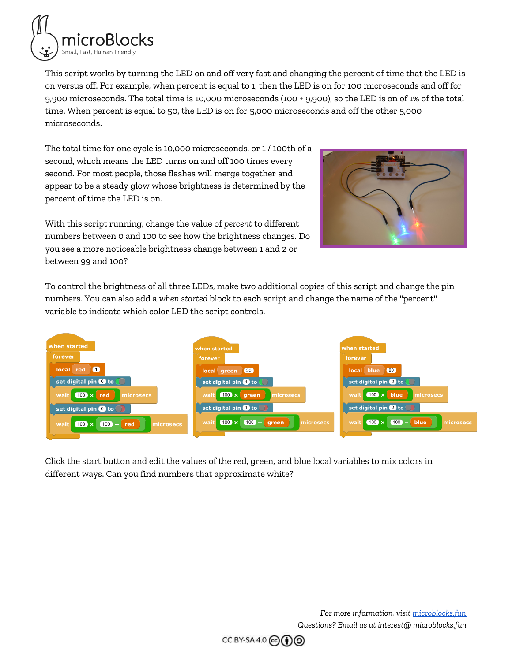

This script works by turning the LED on and off very fast and changing the percent of time that the LED is on versus off. For example, when percent is equal to 1, then the LED is on for 100 microseconds and off for 9,900 microseconds. The total time is 10,000 microseconds (100 + 9,900), so the LED is on of 1% of the total time. When percent is equal to 50, the LED is on for 5,000 microseconds and off the other 5,000 microseconds.

The total time for one cycle is 10,000 microseconds, or 1 / 100th of a second, which means the LED turns on and off 100 times every second. For most people, those flashes will merge together and appear to be a steady glow whose brightness is determined by the percent of time the LED is on.

With this script running, change the value of *percent* to different numbers between 0 and 100 to see how the brightness changes. Do you see a more noticeable brightness change between 1 and 2 or between 99 and 100?



To control the brightness of all three LEDs, make two additional copies of this script and change the pin numbers. You can also add a *when started* block to each script and change the name of the "percent" variable to indicate which color LED the script controls.



Click the start button and edit the values of the red, green, and blue local variables to mix colors in different ways. Can you find numbers that approximate white?